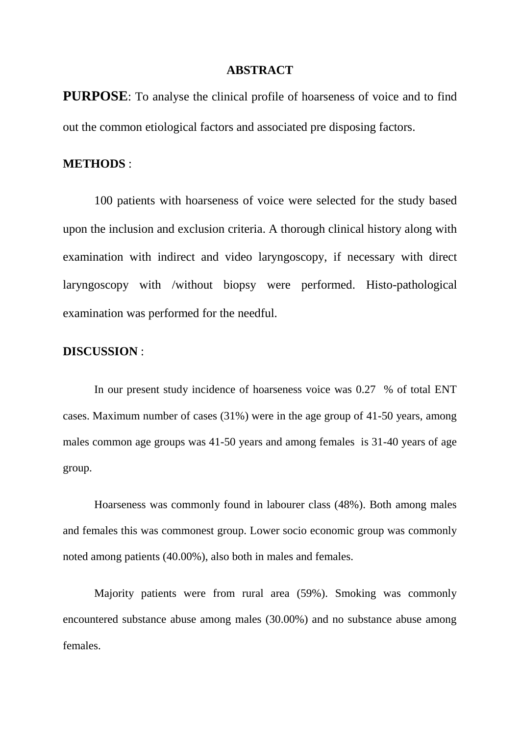## **ABSTRACT**

**PURPOSE**: To analyse the clinical profile of hoarseness of voice and to find out the common etiological factors and associated pre disposing factors.

## **METHODS** :

100 patients with hoarseness of voice were selected for the study based upon the inclusion and exclusion criteria. A thorough clinical history along with examination with indirect and video laryngoscopy, if necessary with direct laryngoscopy with /without biopsy were performed. Histo-pathological examination was performed for the needful.

## **DISCUSSION** :

In our present study incidence of hoarseness voice was 0.27 % of total ENT cases. Maximum number of cases (31%) were in the age group of 41-50 years, among males common age groups was 41-50 years and among females is 31-40 years of age group.

Hoarseness was commonly found in labourer class (48%). Both among males and females this was commonest group. Lower socio economic group was commonly noted among patients (40.00%), also both in males and females.

Majority patients were from rural area (59%). Smoking was commonly encountered substance abuse among males (30.00%) and no substance abuse among females.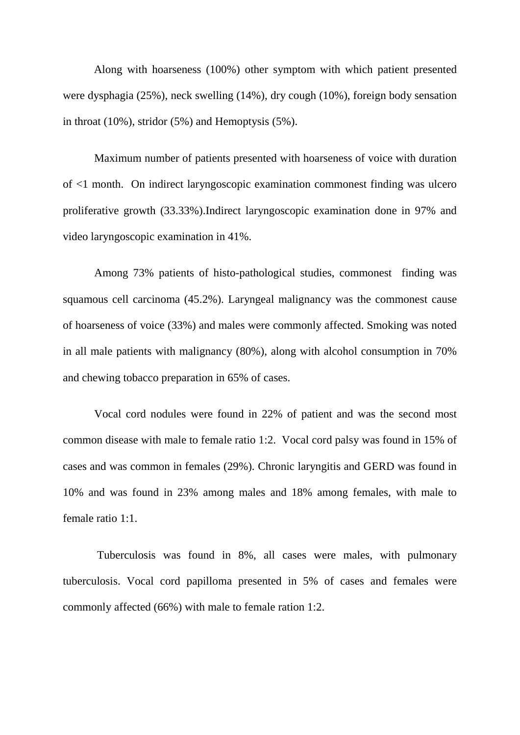Along with hoarseness (100%) other symptom with which patient presented were dysphagia (25%), neck swelling (14%), dry cough (10%), foreign body sensation in throat (10%), stridor (5%) and Hemoptysis (5%).

Maximum number of patients presented with hoarseness of voice with duration of <1 month. On indirect laryngoscopic examination commonest finding was ulcero proliferative growth (33.33%).Indirect laryngoscopic examination done in 97% and video laryngoscopic examination in 41%.

Among 73% patients of histo-pathological studies, commonest finding was squamous cell carcinoma (45.2%). Laryngeal malignancy was the commonest cause of hoarseness of voice (33%) and males were commonly affected. Smoking was noted in all male patients with malignancy (80%), along with alcohol consumption in 70% and chewing tobacco preparation in 65% of cases.

Vocal cord nodules were found in 22% of patient and was the second most common disease with male to female ratio 1:2. Vocal cord palsy was found in 15% of cases and was common in females (29%). Chronic laryngitis and GERD was found in 10% and was found in 23% among males and 18% among females, with male to female ratio 1:1.

Tuberculosis was found in 8%, all cases were males, with pulmonary tuberculosis. Vocal cord papilloma presented in 5% of cases and females were commonly affected (66%) with male to female ration 1:2.